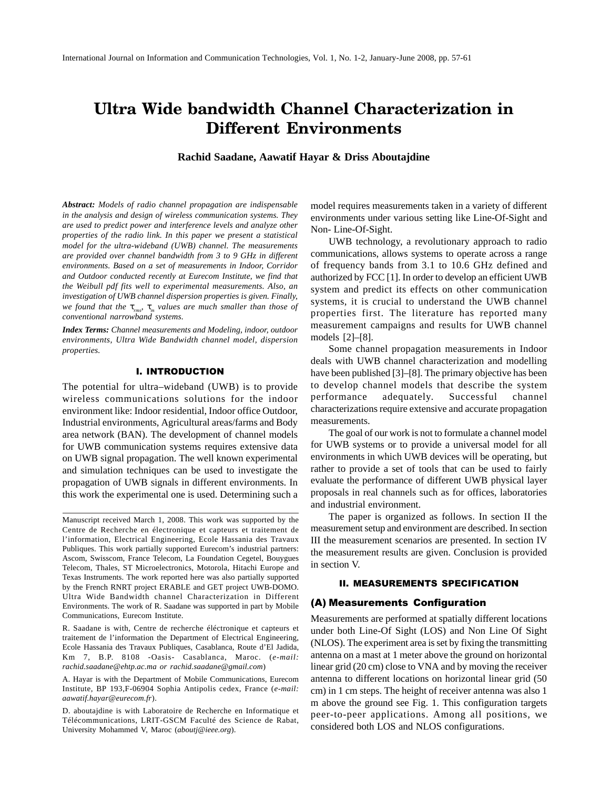# Ultra Wide bandwidth Channel Characterization in **Different Environments**

**Rachid Saadane, Aawatif Hayar & Driss Aboutajdine**

*Abstract: Models of radio channel propagation are indispensable in the analysis and design of wireless communication systems. They are used to predict power and interference levels and analyze other properties of the radio link. In this paper we present a statistical model for the ultra-wideband (UWB) channel. The measurements are provided over channel bandwidth from 3 to 9 GHz in different environments. Based on a set of measurements in Indoor, Corridor and Outdoor conducted recently at Eurecom Institute, we find that the Weibull pdf fits well to experimental measurements. Also, an investigation of UWB channel dispersion properties is given. Finally, we found that the* τ*rms,* τ*m values are much smaller than those of conventional narrowband systems.*

*Index Terms: Channel measurements and Modeling, indoor, outdoor environments, Ultra Wide Bandwidth channel model, dispersion properties.*

#### I. INTRODUCTION

The potential for ultra–wideband (UWB) is to provide wireless communications solutions for the indoor environment like: Indoor residential, Indoor office Outdoor, Industrial environments, Agricultural areas/farms and Body area network (BAN). The development of channel models for UWB communication systems requires extensive data on UWB signal propagation. The well known experimental and simulation techniques can be used to investigate the propagation of UWB signals in different environments. In this work the experimental one is used. Determining such a

R. Saadane is with, Centre de recherche éléctronique et capteurs et traitement de l'information the Department of Electrical Engineering, Ecole Hassania des Travaux Publiques, Casablanca, Route d'El Jadida, Km 7, B.P. 8108 -Oasis- Casablanca, Maroc. (*e-mail: rachid.saadane@ehtp.ac.ma or rachid.saadane@gmail.com*)

A. Hayar is with the Department of Mobile Communications, Eurecom Institute, BP 193,F-06904 Sophia Antipolis cedex, France (*e-mail: aawatif.hayar@eurecom.fr*).

D. aboutajdine is with Laboratoire de Recherche en Informatique et Télécommunications, LRIT-GSCM Faculté des Science de Rabat, University Mohammed V, Maroc (*aboutj@ieee.org*).

model requires measurements taken in a variety of different environments under various setting like Line-Of-Sight and Non- Line-Of-Sight.

UWB technology, a revolutionary approach to radio communications, allows systems to operate across a range of frequency bands from 3.1 to 10.6 GHz defined and authorized by FCC [1]. In order to develop an efficient UWB system and predict its effects on other communication systems, it is crucial to understand the UWB channel properties first. The literature has reported many measurement campaigns and results for UWB channel models [2]–[8].

Some channel propagation measurements in Indoor deals with UWB channel characterization and modelling have been published [3]–[8]. The primary objective has been to develop channel models that describe the system performance adequately. Successful channel characterizations require extensive and accurate propagation measurements.

The goal of our work is not to formulate a channel model for UWB systems or to provide a universal model for all environments in which UWB devices will be operating, but rather to provide a set of tools that can be used to fairly evaluate the performance of different UWB physical layer proposals in real channels such as for offices, laboratories and industrial environment.

The paper is organized as follows. In section II the measurement setup and environment are described. In section III the measurement scenarios are presented. In section IV the measurement results are given. Conclusion is provided in section V.

### **II. MEASUREMENTS SPECIFICATION**

# (A) Measurements Configuration

Measurements are performed at spatially different locations under both Line-Of Sight (LOS) and Non Line Of Sight (NLOS). The experiment area is set by fixing the transmitting antenna on a mast at 1 meter above the ground on horizontal linear grid (20 cm) close to VNA and by moving the receiver antenna to different locations on horizontal linear grid (50 cm) in 1 cm steps. The height of receiver antenna was also 1 m above the ground see Fig. 1. This configuration targets peer-to-peer applications. Among all positions, we considered both LOS and NLOS configurations.

Manuscript received March 1, 2008. This work was supported by the Centre de Recherche en électronique et capteurs et traitement de l'information, Electrical Engineering, Ecole Hassania des Travaux Publiques. This work partially supported Eurecom's industrial partners: Ascom, Swisscom, France Telecom, La Foundation Cegetel, Bouygues Telecom, Thales, ST Microelectronics, Motorola, Hitachi Europe and Texas Instruments. The work reported here was also partially supported by the French RNRT project ERABLE and GET project UWB-DOMO. Ultra Wide Bandwidth channel Characterization in Different Environments. The work of R. Saadane was supported in part by Mobile Communications, Eurecom Institute.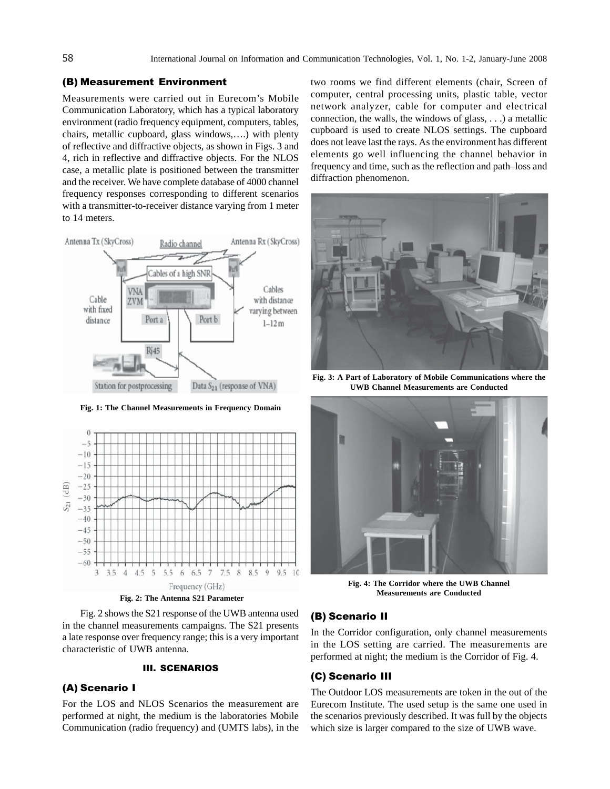# (B) Measurement Environment

Measurements were carried out in Eurecom's Mobile Communication Laboratory, which has a typical laboratory environment (radio frequency equipment, computers, tables, chairs, metallic cupboard, glass windows,….) with plenty of reflective and diffractive objects, as shown in Figs. 3 and 4, rich in reflective and diffractive objects. For the NLOS case, a metallic plate is positioned between the transmitter and the receiver. We have complete database of 4000 channel frequency responses corresponding to different scenarios with a transmitter-to-receiver distance varying from 1 meter to 14 meters.



**Fig. 1: The Channel Measurements in Frequency Domain**



**Fig. 2: The Antenna S21 Parameter**

Fig. 2 shows the S21 response of the UWB antenna used in the channel measurements campaigns. The S21 presents a late response over frequency range; this is a very important characteristic of UWB antenna.

## III. SCENARIOS

## (A) Scenario I

For the LOS and NLOS Scenarios the measurement are performed at night, the medium is the laboratories Mobile Communication (radio frequency) and (UMTS labs), in the two rooms we find different elements (chair, Screen of computer, central processing units, plastic table, vector network analyzer, cable for computer and electrical connection, the walls, the windows of glass, . . .) a metallic cupboard is used to create NLOS settings. The cupboard does not leave last the rays. As the environment has different elements go well influencing the channel behavior in frequency and time, such as the reflection and path–loss and diffraction phenomenon.



**Fig. 3: A Part of Laboratory of Mobile Communications where the UWB Channel Measurements are Conducted**



**Fig. 4: The Corridor where the UWB Channel Measurements are Conducted**

# (B) Scenario II

In the Corridor configuration, only channel measurements in the LOS setting are carried. The measurements are performed at night; the medium is the Corridor of Fig. 4.

## (C) Scenario III

The Outdoor LOS measurements are token in the out of the Eurecom Institute. The used setup is the same one used in the scenarios previously described. It was full by the objects which size is larger compared to the size of UWB wave.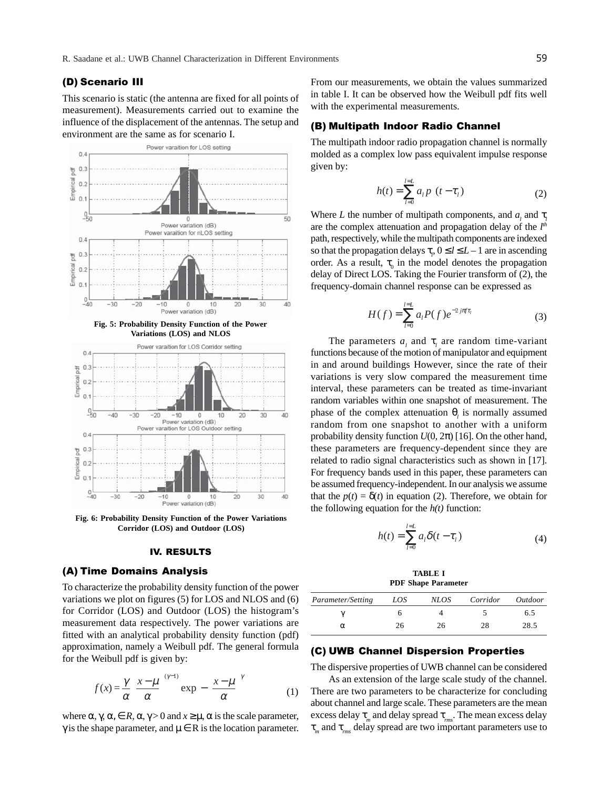# (D) Scenario III

This scenario is static (the antenna are fixed for all points of measurement). Measurements carried out to examine the influence of the displacement of the antennas. The setup and environment are the same as for scenario I.







**Fig. 6: Probability Density Function of the Power Variations Corridor (LOS) and Outdoor (LOS)**

## IV. RESULTS

## (A) Time Domains Analysis

To characterize the probability density function of the power variations we plot on figures (5) for LOS and NLOS and (6) for Corridor (LOS) and Outdoor (LOS) the histogram's measurement data respectively. The power variations are fitted with an analytical probability density function (pdf) approximation, namely a Weibull pdf. The general formula for the Weibull pdf is given by:

$$
f(x) = \frac{\gamma}{\alpha} \left( \frac{x - \mu}{\alpha} \right)^{(\gamma - 1)} \exp\left\{ -\left( \frac{x - \mu}{\alpha} \right)^{\gamma} \right\}
$$
 (1)

where  $\alpha$ ,  $\gamma$ ,  $\alpha$ ,  $\in$  *R*,  $\alpha$ ,  $\gamma$  > 0 and  $x \ge \mu$ ,  $\alpha$  is the scale parameter, γ is the shape parameter, and  $μ ∈ R$  is the location parameter.

From our measurements, we obtain the values summarized in table I. It can be observed how the Weibull pdf fits well with the experimental measurements.

# (B) Multipath Indoor Radio Channel

The multipath indoor radio propagation channel is normally molded as a complex low pass equivalent impulse response given by:

$$
h(t) = \sum_{l=0}^{l=L} a_l p \ (t - \tau_l)
$$
 (2)

Where *L* the number of multipath components, and  $a_i$  and  $\tau$ are the complex attenuation and propagation delay of the *l th* path, respectively, while the multipath components are indexed so that the propagation delays  $\tau_p$ ,  $0 \le l \le L-1$  are in ascending order. As a result,  $\tau_0$  in the model denotes the propagation delay of Direct LOS. Taking the Fourier transform of (2), the frequency-domain channel response can be expressed as

$$
H(f) = \sum_{l=0}^{l=L} a_l P(f) e^{-2j\pi f \tau_l}
$$
 (3)

The parameters  $a_i$  and  $\tau_i$  are random time-variant functions because of the motion of manipulator and equipment in and around buildings However, since the rate of their variations is very slow compared the measurement time interval, these parameters can be treated as time-invariant random variables within one snapshot of measurement. The phase of the complex attenuation  $θ$ <sub>*l*</sub> is normally assumed random from one snapshot to another with a uniform probability density function  $U(0, 2\pi)$  [16]. On the other hand, these parameters are frequency-dependent since they are related to radio signal characteristics such as shown in [17]. For frequency bands used in this paper, these parameters can be assumed frequency-independent. In our analysis we assume that the  $p(t) = \delta(t)$  in equation (2). Therefore, we obtain for the following equation for the  $h(t)$  function:

$$
h(t) = \sum_{l=0}^{l=L} a_l \delta(t - \tau_l)
$$
 (4)

**TABLE I PDF Shape Parameter**

| Parameter/Setting | LOS | <i>NLOS</i> | Corridor | Outdoor |
|-------------------|-----|-------------|----------|---------|
|                   |     |             |          | 6.5     |
| α                 | 26  | 26          | 28       | 28.5    |

## (C) UWB Channel Dispersion Properties

The dispersive properties of UWB channel can be considered

As an extension of the large scale study of the channel. There are two parameters to be characterize for concluding about channel and large scale. These parameters are the mean excess delay τ*m* and delay spread τ*rms*. The mean excess delay τ*m* and τ*rms* delay spread are two important parameters use to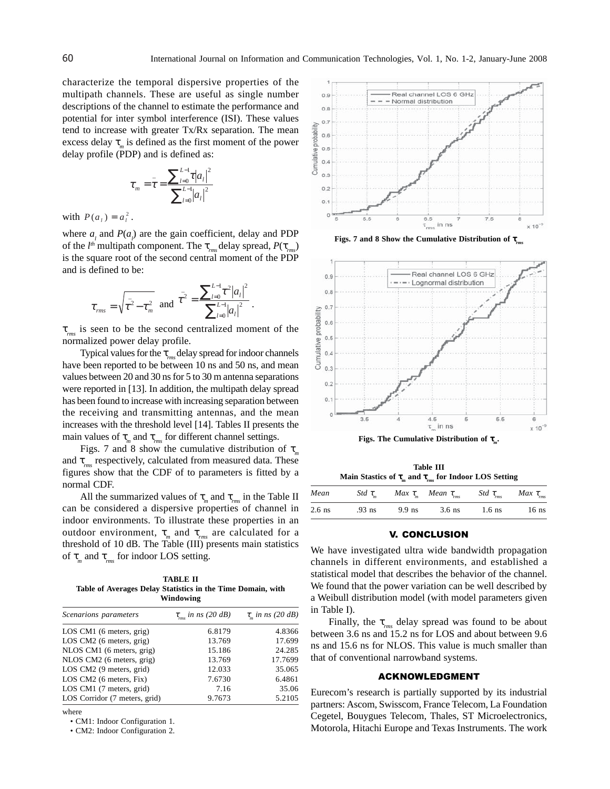characterize the temporal dispersive properties of the multipath channels. These are useful as single number descriptions of the channel to estimate the performance and potential for inter symbol interference (ISI). These values tend to increase with greater Tx/Rx separation. The mean excess delay  $\tau_m$  is defined as the first moment of the power delay profile (PDP) and is defined as:

$$
\tau_{m} = \bar{\tau} = \frac{\sum_{l=0}^{L-1} \tau |a_{l}|^{2}}{\sum_{l=0}^{L-1} |a_{l}|^{2}}
$$

with  $P(a_i) = a_i^2$ .

where  $a_i$  and  $P(a_i)$  are the gain coefficient, delay and PDP of the *l th* multipath component. The τ*rms* delay spread, *P*(τ*rms*) is the square root of the second central moment of the PDP and is defined to be:

$$
\tau_{rms} = \sqrt{\overline{\tau^2} - \tau_m^2}
$$
 and  $\overline{\tau^2} = \frac{\sum_{l=0}^{L-1} \tau^2 |a_l|^2}{\sum_{l=0}^{L-1} |a_l|^2}$ .

τ*rms* is seen to be the second centralized moment of the normalized power delay profile.

Typical values for the τ*rms* delay spread for indoor channels have been reported to be between 10 ns and 50 ns, and mean values between 20 and 30 ns for 5 to 30 m antenna separations were reported in [13]. In addition, the multipath delay spread has been found to increase with increasing separation between the receiving and transmitting antennas, and the mean increases with the threshold level [14]. Tables II presents the main values of  $\tau_m$  and  $\tau_{rms}$  for different channel settings.

Figs. 7 and 8 show the cumulative distribution of τ*<sup>m</sup>* and τ*rms* respectively, calculated from measured data. These figures show that the CDF of to parameters is fitted by a normal CDF.

All the summarized values of  $\tau_m$  and  $\tau_{mn}$  in the Table II can be considered a dispersive properties of channel in indoor environments. To illustrate these properties in an outdoor environment,  $\tau_m$  and  $\tau_{rms}$  are calculated for a threshold of 10 dB. The Table (III) presents main statistics of τ*m* and τ*rms* for indoor LOS setting.

**TABLE II Table of Averages Delay Statistics in the Time Domain, with Windowing**

| Scenarions parameters         | $\tau_{rms}$ in ns (20 dB) | $\tau_{m}$ in ns (20 dB) |  |
|-------------------------------|----------------------------|--------------------------|--|
| LOS CM1 (6 meters, grig)      | 6.8179                     | 4.8366                   |  |
| LOS CM2 (6 meters, grig)      | 13.769                     | 17.699                   |  |
| NLOS CM1 (6 meters, grig)     | 15.186                     | 24.285                   |  |
| NLOS CM2 (6 meters, grig)     | 13.769                     | 17.7699                  |  |
| LOS CM2 (9 meters, grid)      | 12.033                     | 35.065                   |  |
| LOS CM2 (6 meters, Fix)       | 7.6730                     | 6.4861                   |  |
| LOS CM1 (7 meters, grid)      | 7.16                       | 35.06                    |  |
| LOS Corridor (7 meters, grid) | 9.7673                     | 5.2105                   |  |

where

• CM1: Indoor Configuration 1.

• CM2: Indoor Configuration 2.



**Figs. 7 and 8 Show the Cumulative Distribution of τ** 





**Table III Main Stastics of**  $\tau_m$  **and**  $\tau_{rms}$  **for Indoor LOS Setting** 

| Mean     | Std $\tau_{m}$ |          | Max $\tau_m$ Mean $\tau_{rms}$ | Std $\tau_{rms}$ | Max $\tau_{\scriptscriptstyle rms}$ |
|----------|----------------|----------|--------------------------------|------------------|-------------------------------------|
| $2.6$ ns | $.93$ ns       | $9.9$ ns | 3.6 ns                         | $1.6$ ns         | $16$ ns                             |

#### V. CONCLUSION

We have investigated ultra wide bandwidth propagation channels in different environments, and established a statistical model that describes the behavior of the channel. We found that the power variation can be well described by a Weibull distribution model (with model parameters given in Table I).

Finally, the  $\tau_{\text{rms}}$  delay spread was found to be about between 3.6 ns and 15.2 ns for LOS and about between 9.6 ns and 15.6 ns for NLOS. This value is much smaller than that of conventional narrowband systems.

#### <u>ACKNOWLEDGMENT</u>

Eurecom's research is partially supported by its industrial partners: Ascom, Swisscom, France Telecom, La Foundation Cegetel, Bouygues Telecom, Thales, ST Microelectronics, Motorola, Hitachi Europe and Texas Instruments. The work